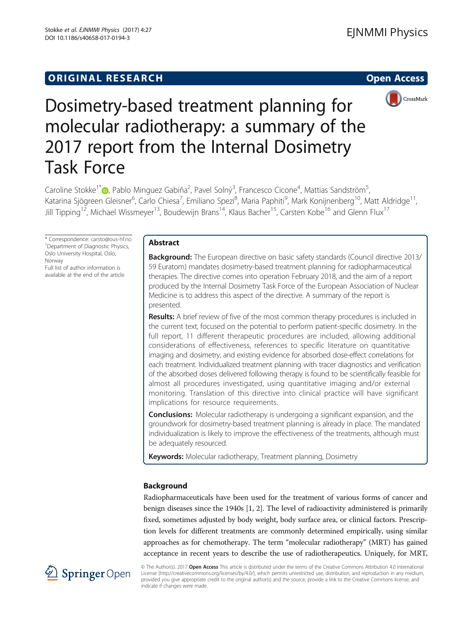

# Dosimetry-based treatment planning for molecular radiotherapy: a summary of the 2017 report from the Internal Dosimetry Task Force

Caroline Stokke<sup>1\*</sup> $\bullet$ [,](http://orcid.org/0000-0003-4465-9635) Pablo Minguez Gabiña<sup>2</sup>, Pavel Solný<sup>3</sup>, Francesco Cicone<sup>4</sup>, Mattias Sandström<sup>5</sup> , Katarina Sjögreen Gleisner<sup>6</sup>, Carlo Chiesa<sup>7</sup>, Emiliano Spezi<sup>8</sup>, Maria Paphiti<sup>9</sup>, Mark Konijnenberg<sup>10</sup>, Matt Aldridge<sup>11</sup>, Jill Tipping<sup>12</sup>, Michael Wissmeyer<sup>13</sup>, Boudewijn Brans<sup>14</sup>, Klaus Bacher<sup>15</sup>, Carsten Kobe<sup>16</sup> and Glenn Flux<sup>17</sup>

\* Correspondence: [carsto@ous-hf.no](mailto:carsto@ous-hf.no) <sup>1</sup> Department of Diagnostic Physics, Oslo University Hospital, Oslo, Norway Full list of author information is

available at the end of the article

# Abstract

**Background:** The European directive on basic safety standards (Council directive 2013/ 59 Euratom) mandates dosimetry-based treatment planning for radiopharmaceutical therapies. The directive comes into operation February 2018, and the aim of a report produced by the Internal Dosimetry Task Force of the European Association of Nuclear Medicine is to address this aspect of the directive. A summary of the report is presented.

Results: A brief review of five of the most common therapy procedures is included in the current text, focused on the potential to perform patient-specific dosimetry. In the full report, 11 different therapeutic procedures are included, allowing additional considerations of effectiveness, references to specific literature on quantitative imaging and dosimetry, and existing evidence for absorbed dose-effect correlations for each treatment. Individualized treatment planning with tracer diagnostics and verification of the absorbed doses delivered following therapy is found to be scientifically feasible for almost all procedures investigated, using quantitative imaging and/or external monitoring. Translation of this directive into clinical practice will have significant implications for resource requirements.

**Conclusions:** Molecular radiotherapy is undergoing a significant expansion, and the groundwork for dosimetry-based treatment planning is already in place. The mandated individualization is likely to improve the effectiveness of the treatments, although must be adequately resourced.

**Keywords:** Molecular radiotherapy, Treatment planning, Dosimetry

# Background

Radiopharmaceuticals have been used for the treatment of various forms of cancer and benign diseases since the 1940s [\[1, 2\]](#page-7-0). The level of radioactivity administered is primarily fixed, sometimes adjusted by body weight, body surface area, or clinical factors. Prescription levels for different treatments are commonly determined empirically, using similar approaches as for chemotherapy. The term "molecular radiotherapy" (MRT) has gained acceptance in recent years to describe the use of radiotherapeutics. Uniquely, for MRT,



© The Author(s). 2017 Open Access This article is distributed under the terms of the Creative Commons Attribution 4.0 International License [\(http://creativecommons.org/licenses/by/4.0/](http://creativecommons.org/licenses/by/4.0/)), which permits unrestricted use, distribution, and reproduction in any medium, provided you give appropriate credit to the original author(s) and the source, provide a link to the Creative Commons license, and indicate if changes were made.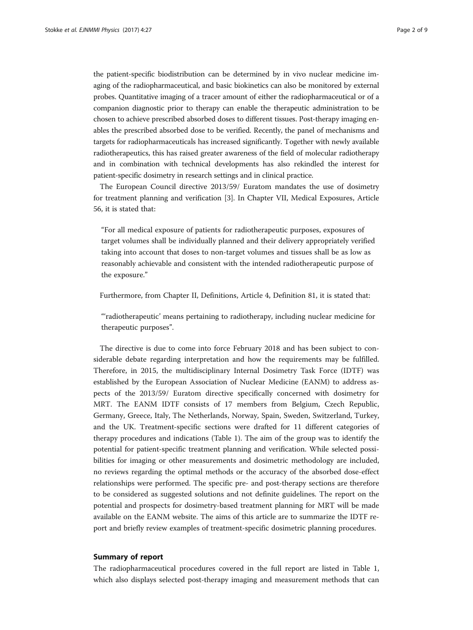the patient-specific biodistribution can be determined by in vivo nuclear medicine imaging of the radiopharmaceutical, and basic biokinetics can also be monitored by external probes. Quantitative imaging of a tracer amount of either the radiopharmaceutical or of a companion diagnostic prior to therapy can enable the therapeutic administration to be chosen to achieve prescribed absorbed doses to different tissues. Post-therapy imaging enables the prescribed absorbed dose to be verified. Recently, the panel of mechanisms and targets for radiopharmaceuticals has increased significantly. Together with newly available radiotherapeutics, this has raised greater awareness of the field of molecular radiotherapy and in combination with technical developments has also rekindled the interest for patient-specific dosimetry in research settings and in clinical practice.

The European Council directive 2013/59/ Euratom mandates the use of dosimetry for treatment planning and verification [[3\]](#page-7-0). In Chapter VII, Medical Exposures, Article 56, it is stated that:

"For all medical exposure of patients for radiotherapeutic purposes, exposures of target volumes shall be individually planned and their delivery appropriately verified taking into account that doses to non-target volumes and tissues shall be as low as reasonably achievable and consistent with the intended radiotherapeutic purpose of the exposure."

Furthermore, from Chapter II, Definitions, Article 4, Definition 81, it is stated that:

"'radiotherapeutic' means pertaining to radiotherapy, including nuclear medicine for therapeutic purposes".

The directive is due to come into force February 2018 and has been subject to considerable debate regarding interpretation and how the requirements may be fulfilled. Therefore, in 2015, the multidisciplinary Internal Dosimetry Task Force (IDTF) was established by the European Association of Nuclear Medicine (EANM) to address aspects of the 2013/59/ Euratom directive specifically concerned with dosimetry for MRT. The EANM IDTF consists of 17 members from Belgium, Czech Republic, Germany, Greece, Italy, The Netherlands, Norway, Spain, Sweden, Switzerland, Turkey, and the UK. Treatment-specific sections were drafted for 11 different categories of therapy procedures and indications (Table [1\)](#page-2-0). The aim of the group was to identify the potential for patient-specific treatment planning and verification. While selected possibilities for imaging or other measurements and dosimetric methodology are included, no reviews regarding the optimal methods or the accuracy of the absorbed dose-effect relationships were performed. The specific pre- and post-therapy sections are therefore to be considered as suggested solutions and not definite guidelines. The report on the potential and prospects for dosimetry-based treatment planning for MRT will be made available on the EANM website. The aims of this article are to summarize the IDTF report and briefly review examples of treatment-specific dosimetric planning procedures.

## Summary of report

The radiopharmaceutical procedures covered in the full report are listed in Table [1](#page-2-0), which also displays selected post-therapy imaging and measurement methods that can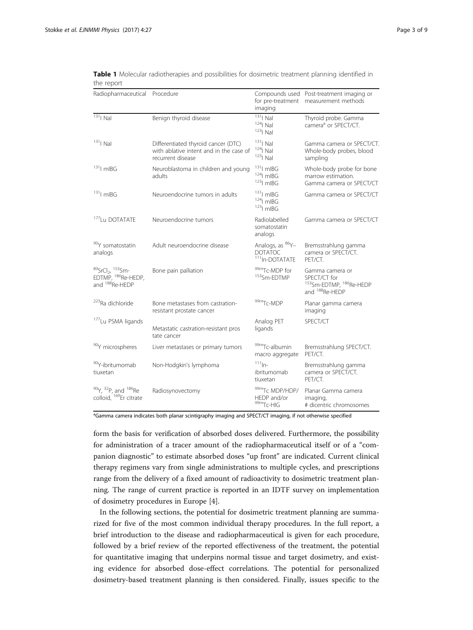| Radiopharmaceutical Procedure                                                                                |                                                                                                     | imaging                                                                      | Compounds used Post-treatment imaging or<br>for pre-treatment measurement methods                                |
|--------------------------------------------------------------------------------------------------------------|-----------------------------------------------------------------------------------------------------|------------------------------------------------------------------------------|------------------------------------------------------------------------------------------------------------------|
| $\overline{131}$ Nal                                                                                         | Benign thyroid disease                                                                              | $\overline{131}$ Nal<br>$124$ Nal<br>$123$ Nal                               | Thyroid probe. Gamma<br>camera <sup>a</sup> or SPECT/CT.                                                         |
| $131$ Nal                                                                                                    | Differentiated thyroid cancer (DTC)<br>with ablative intent and in the case of<br>recurrent disease | $131$ Nal<br>$124$ Nal<br>$123$ Nal                                          | Gamma camera or SPECT/CT.<br>Whole-body probes, blood<br>sampling                                                |
| $131$ mIBG                                                                                                   | Neuroblastoma in children and young<br>adults                                                       | $131$ mIBG<br>$124$ mIBG<br>$123$ mIBG                                       | Whole-body probe for bone<br>marrow estimation.<br>Gamma camera or SPECT/CT                                      |
| $131$ mIBG                                                                                                   | Neuroendocrine tumors in adults                                                                     | $131$ mIBG<br>$124$ mIBG<br>$123$ mIBG                                       | Gamma camera or SPECT/CT                                                                                         |
| <sup>177</sup> Lu DOTATATE                                                                                   | Neuroendocrine tumors                                                                               | Radiolabelled<br>somatostatin<br>analogs                                     | Gamma camera or SPECT/CT                                                                                         |
| 90Y somatostatin<br>analogs                                                                                  | Adult neuroendocrine disease                                                                        | Analogs, as <sup>86</sup> Y-<br><b>DOTATOC</b><br><sup>111</sup> In-DOTATATE | Bremsstrahlung gamma<br>camera or SPECT/CT.<br>PET/CT.                                                           |
| ${}^{89}$ SrCl <sub>2</sub> , ${}^{153}$ Sm-<br>EDTMP, <sup>186</sup> Re-HEDP,<br>and <sup>188</sup> Re-HEDP | Bone pain palliation                                                                                | 99mTc-MDP for<br>153 <sub>Sm-EDTMP</sub>                                     | Gamma camera or<br>SPECT/CT for<br><sup>153</sup> Sm-EDTMP, <sup>186</sup> Re-HEDP<br>and <sup>188</sup> Re-HEDP |
| <sup>223</sup> Ra dichloride                                                                                 | Bone metastases from castration-<br>resistant prostate cancer                                       | 99m <sub>Tc</sub> -MDP                                                       | Planar gamma camera<br>imaging                                                                                   |
| <sup>177</sup> Lu PSMA ligands                                                                               | Metastatic castration-resistant pros<br>tate cancer                                                 | Analog PET<br>ligands                                                        | SPECT/CT                                                                                                         |
| 90Y microspheres                                                                                             | Liver metastases or primary tumors                                                                  | 99mTc-albumin<br>macro aggregate                                             | Bremsstrahlung SPECT/CT.<br>PET/CT.                                                                              |
| 90Y-ibritumomab<br>tiuxetan                                                                                  | Non-Hodgkin's lymphoma                                                                              | $111_{n}$<br>ibritumomab<br>tiuxetan                                         | Bremsstrahlung gamma<br>camera or SPECT/CT.<br>PET/CT.                                                           |
| 90 Y, 32 P, and 186 Re<br>colloid, 169Er citrate                                                             | Radiosynovectomy                                                                                    | 99mTc MDP/HDP/<br>HEDP and/or<br>99m <sub>Tc-HIG</sub>                       | Planar Gamma camera<br>imaging,<br># dicentric chromosomes                                                       |

<span id="page-2-0"></span>Table 1 Molecular radiotherapies and possibilities for dosimetric treatment planning identified in the report

<sup>a</sup>Gamma camera indicates both planar scintigraphy imaging and SPECT/CT imaging, if not otherwise specified

form the basis for verification of absorbed doses delivered. Furthermore, the possibility for administration of a tracer amount of the radiopharmaceutical itself or of a "companion diagnostic" to estimate absorbed doses "up front" are indicated. Current clinical therapy regimens vary from single administrations to multiple cycles, and prescriptions range from the delivery of a fixed amount of radioactivity to dosimetric treatment planning. The range of current practice is reported in an IDTF survey on implementation of dosimetry procedures in Europe [\[4](#page-7-0)].

In the following sections, the potential for dosimetric treatment planning are summarized for five of the most common individual therapy procedures. In the full report, a brief introduction to the disease and radiopharmaceutical is given for each procedure, followed by a brief review of the reported effectiveness of the treatment, the potential for quantitative imaging that underpins normal tissue and target dosimetry, and existing evidence for absorbed dose-effect correlations. The potential for personalized dosimetry-based treatment planning is then considered. Finally, issues specific to the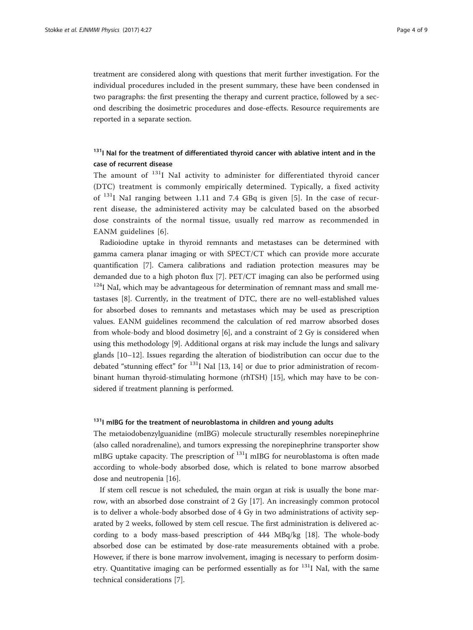treatment are considered along with questions that merit further investigation. For the individual procedures included in the present summary, these have been condensed in two paragraphs: the first presenting the therapy and current practice, followed by a second describing the dosimetric procedures and dose-effects. Resource requirements are reported in a separate section.

# <sup>131</sup>l Nal for the treatment of differentiated thyroid cancer with ablative intent and in the case of recurrent disease

The amount of <sup>131</sup>I NaI activity to administer for differentiated thyroid cancer (DTC) treatment is commonly empirically determined. Typically, a fixed activity of 131I NaI ranging between 1.11 and 7.4 GBq is given [[5](#page-7-0)]. In the case of recurrent disease, the administered activity may be calculated based on the absorbed dose constraints of the normal tissue, usually red marrow as recommended in EANM guidelines [[6\]](#page-7-0).

Radioiodine uptake in thyroid remnants and metastases can be determined with gamma camera planar imaging or with SPECT/CT which can provide more accurate quantification [\[7](#page-7-0)]. Camera calibrations and radiation protection measures may be demanded due to a high photon flux [[7\]](#page-7-0). PET/CT imaging can also be performed using  $124$ I NaI, which may be advantageous for determination of remnant mass and small metastases [\[8\]](#page-7-0). Currently, in the treatment of DTC, there are no well-established values for absorbed doses to remnants and metastases which may be used as prescription values. EANM guidelines recommend the calculation of red marrow absorbed doses from whole-body and blood dosimetry [\[6](#page-7-0)], and a constraint of 2 Gy is considered when using this methodology [\[9](#page-7-0)]. Additional organs at risk may include the lungs and salivary glands [\[10](#page-7-0)–[12](#page-7-0)]. Issues regarding the alteration of biodistribution can occur due to the debated "stunning effect" for  $^{131}$ I NaI [\[13, 14\]](#page-7-0) or due to prior administration of recombinant human thyroid-stimulating hormone (rhTSH) [[15\]](#page-7-0), which may have to be considered if treatment planning is performed.

## <sup>131</sup>I mIBG for the treatment of neuroblastoma in children and young adults

The metaiodobenzylguanidine (mIBG) molecule structurally resembles norepinephrine (also called noradrenaline), and tumors expressing the norepinephrine transporter show mIBG uptake capacity. The prescription of <sup>131</sup>I mIBG for neuroblastoma is often made according to whole-body absorbed dose, which is related to bone marrow absorbed dose and neutropenia [\[16](#page-7-0)].

If stem cell rescue is not scheduled, the main organ at risk is usually the bone marrow, with an absorbed dose constraint of 2 Gy [[17](#page-7-0)]. An increasingly common protocol is to deliver a whole-body absorbed dose of 4 Gy in two administrations of activity separated by 2 weeks, followed by stem cell rescue. The first administration is delivered according to a body mass-based prescription of 444 MBq/kg [\[18](#page-7-0)]. The whole-body absorbed dose can be estimated by dose-rate measurements obtained with a probe. However, if there is bone marrow involvement, imaging is necessary to perform dosimetry. Quantitative imaging can be performed essentially as for  $^{131}$ I NaI, with the same technical considerations [\[7](#page-7-0)].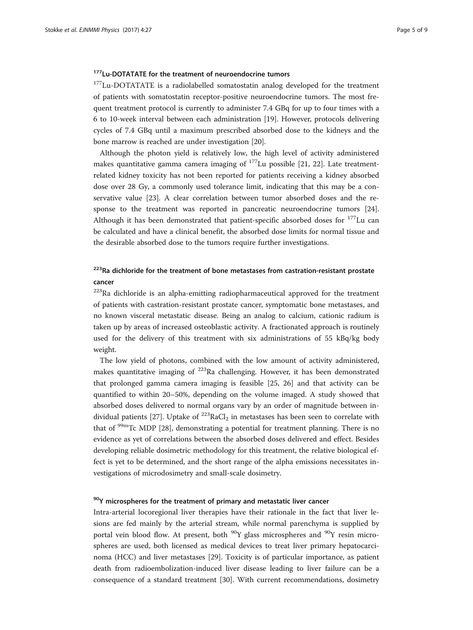## <sup>177</sup>Lu-DOTATATE for the treatment of neuroendocrine tumors

<sup>177</sup>Lu-DOTATATE is a radiolabelled somatostatin analog developed for the treatment of patients with somatostatin receptor-positive neuroendocrine tumors. The most frequent treatment protocol is currently to administer 7.4 GBq for up to four times with a 6 to 10-week interval between each administration [[19](#page-7-0)]. However, protocols delivering cycles of 7.4 GBq until a maximum prescribed absorbed dose to the kidneys and the bone marrow is reached are under investigation [[20\]](#page-7-0).

Although the photon yield is relatively low, the high level of activity administered makes quantitative gamma camera imaging of  $177$ Lu possible [\[21](#page-8-0), [22\]](#page-8-0). Late treatmentrelated kidney toxicity has not been reported for patients receiving a kidney absorbed dose over 28 Gy, a commonly used tolerance limit, indicating that this may be a conservative value [\[23\]](#page-8-0). A clear correlation between tumor absorbed doses and the response to the treatment was reported in pancreatic neuroendocrine tumors [[24](#page-8-0)]. Although it has been demonstrated that patient-specific absorbed doses for  $177$ Lu can be calculated and have a clinical benefit, the absorbed dose limits for normal tissue and the desirable absorbed dose to the tumors require further investigations.

# <sup>223</sup>Ra dichloride for the treatment of bone metastases from castration-resistant prostate cancer

 $223$ Ra dichloride is an alpha-emitting radiopharmaceutical approved for the treatment of patients with castration-resistant prostate cancer, symptomatic bone metastases, and no known visceral metastatic disease. Being an analog to calcium, cationic radium is taken up by areas of increased osteoblastic activity. A fractionated approach is routinely used for the delivery of this treatment with six administrations of 55 kBq/kg body weight.

The low yield of photons, combined with the low amount of activity administered, makes quantitative imaging of  $223$ Ra challenging. However, it has been demonstrated that prolonged gamma camera imaging is feasible [\[25, 26\]](#page-8-0) and that activity can be quantified to within 20–50%, depending on the volume imaged. A study showed that absorbed doses delivered to normal organs vary by an order of magnitude between in-dividual patients [[27](#page-8-0)]. Uptake of  $^{223}$ RaCl<sub>2</sub> in metastases has been seen to correlate with that of 99mTc MDP [\[28\]](#page-8-0), demonstrating a potential for treatment planning. There is no evidence as yet of correlations between the absorbed doses delivered and effect. Besides developing reliable dosimetric methodology for this treatment, the relative biological effect is yet to be determined, and the short range of the alpha emissions necessitates investigations of microdosimetry and small-scale dosimetry.

# 90Y microspheres for the treatment of primary and metastatic liver cancer

Intra-arterial locoregional liver therapies have their rationale in the fact that liver lesions are fed mainly by the arterial stream, while normal parenchyma is supplied by portal vein blood flow. At present, both  $^{90}Y$  glass microspheres and  $^{90}Y$  resin microspheres are used, both licensed as medical devices to treat liver primary hepatocarcinoma (HCC) and liver metastases [\[29](#page-8-0)]. Toxicity is of particular importance, as patient death from radioembolization-induced liver disease leading to liver failure can be a consequence of a standard treatment [[30\]](#page-8-0). With current recommendations, dosimetry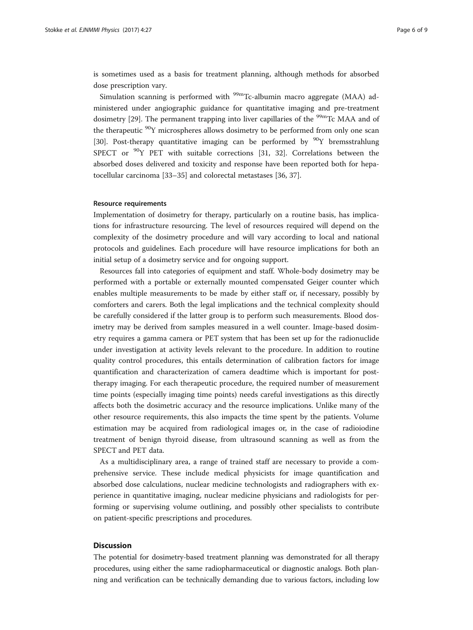is sometimes used as a basis for treatment planning, although methods for absorbed dose prescription vary.

Simulation scanning is performed with  $^{99m}$ Tc-albumin macro aggregate (MAA) administered under angiographic guidance for quantitative imaging and pre-treatment dosimetry [\[29](#page-8-0)]. The permanent trapping into liver capillaries of the <sup>99m</sup>Tc MAA and of the therapeutic  $^{90}Y$  microspheres allows dosimetry to be performed from only one scan [[30\]](#page-8-0). Post-therapy quantitative imaging can be performed by  $^{90}Y$  bremsstrahlung SPECT or  $90Y$  PET with suitable corrections [[31](#page-8-0), [32\]](#page-8-0). Correlations between the absorbed doses delivered and toxicity and response have been reported both for hepatocellular carcinoma [\[33](#page-8-0)–[35\]](#page-8-0) and colorectal metastases [[36](#page-8-0), [37](#page-8-0)].

### Resource requirements

Implementation of dosimetry for therapy, particularly on a routine basis, has implications for infrastructure resourcing. The level of resources required will depend on the complexity of the dosimetry procedure and will vary according to local and national protocols and guidelines. Each procedure will have resource implications for both an initial setup of a dosimetry service and for ongoing support.

Resources fall into categories of equipment and staff. Whole-body dosimetry may be performed with a portable or externally mounted compensated Geiger counter which enables multiple measurements to be made by either staff or, if necessary, possibly by comforters and carers. Both the legal implications and the technical complexity should be carefully considered if the latter group is to perform such measurements. Blood dosimetry may be derived from samples measured in a well counter. Image-based dosimetry requires a gamma camera or PET system that has been set up for the radionuclide under investigation at activity levels relevant to the procedure. In addition to routine quality control procedures, this entails determination of calibration factors for image quantification and characterization of camera deadtime which is important for posttherapy imaging. For each therapeutic procedure, the required number of measurement time points (especially imaging time points) needs careful investigations as this directly affects both the dosimetric accuracy and the resource implications. Unlike many of the other resource requirements, this also impacts the time spent by the patients. Volume estimation may be acquired from radiological images or, in the case of radioiodine treatment of benign thyroid disease, from ultrasound scanning as well as from the SPECT and PET data.

As a multidisciplinary area, a range of trained staff are necessary to provide a comprehensive service. These include medical physicists for image quantification and absorbed dose calculations, nuclear medicine technologists and radiographers with experience in quantitative imaging, nuclear medicine physicians and radiologists for performing or supervising volume outlining, and possibly other specialists to contribute on patient-specific prescriptions and procedures.

## **Discussion**

The potential for dosimetry-based treatment planning was demonstrated for all therapy procedures, using either the same radiopharmaceutical or diagnostic analogs. Both planning and verification can be technically demanding due to various factors, including low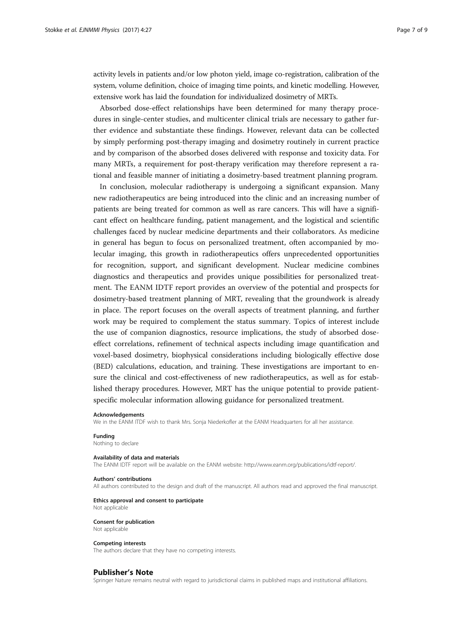activity levels in patients and/or low photon yield, image co-registration, calibration of the system, volume definition, choice of imaging time points, and kinetic modelling. However, extensive work has laid the foundation for individualized dosimetry of MRTs.

Absorbed dose-effect relationships have been determined for many therapy procedures in single-center studies, and multicenter clinical trials are necessary to gather further evidence and substantiate these findings. However, relevant data can be collected by simply performing post-therapy imaging and dosimetry routinely in current practice and by comparison of the absorbed doses delivered with response and toxicity data. For many MRTs, a requirement for post-therapy verification may therefore represent a rational and feasible manner of initiating a dosimetry-based treatment planning program.

In conclusion, molecular radiotherapy is undergoing a significant expansion. Many new radiotherapeutics are being introduced into the clinic and an increasing number of patients are being treated for common as well as rare cancers. This will have a significant effect on healthcare funding, patient management, and the logistical and scientific challenges faced by nuclear medicine departments and their collaborators. As medicine in general has begun to focus on personalized treatment, often accompanied by molecular imaging, this growth in radiotherapeutics offers unprecedented opportunities for recognition, support, and significant development. Nuclear medicine combines diagnostics and therapeutics and provides unique possibilities for personalized treatment. The EANM IDTF report provides an overview of the potential and prospects for dosimetry-based treatment planning of MRT, revealing that the groundwork is already in place. The report focuses on the overall aspects of treatment planning, and further work may be required to complement the status summary. Topics of interest include the use of companion diagnostics, resource implications, the study of absorbed doseeffect correlations, refinement of technical aspects including image quantification and voxel-based dosimetry, biophysical considerations including biologically effective dose (BED) calculations, education, and training. These investigations are important to ensure the clinical and cost-effectiveness of new radiotherapeutics, as well as for established therapy procedures. However, MRT has the unique potential to provide patientspecific molecular information allowing guidance for personalized treatment.

#### Acknowledgements

We in the EANM ITDF wish to thank Mrs. Sonja Niederkofler at the EANM Headquarters for all her assistance.

#### Funding

Nothing to declare

#### Availability of data and materials

The EANM IDTF report will be available on the EANM website:<http://www.eanm.org/publications/idtf-report/>.

#### Authors' contributions

All authors contributed to the design and draft of the manuscript. All authors read and approved the final manuscript.

#### Ethics approval and consent to participate

Consent for publication

Not applicable

Not applicable

#### Competing interests

The authors declare that they have no competing interests.

## Publisher's Note

Springer Nature remains neutral with regard to jurisdictional claims in published maps and institutional affiliations.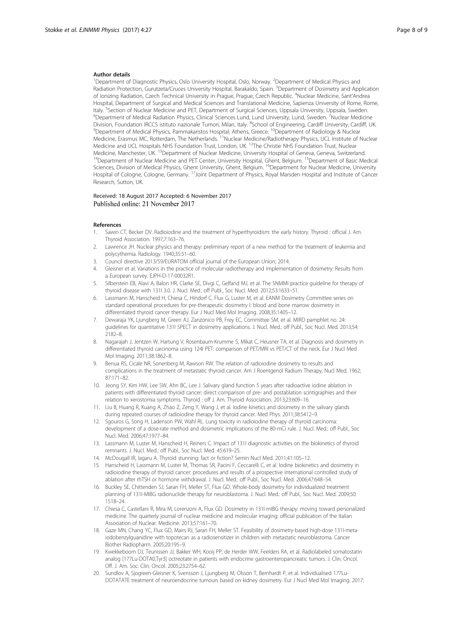#### <span id="page-7-0"></span>Author details

<sup>1</sup>Department of Diagnostic Physics, Oslo University Hospital, Oslo, Norway. <sup>2</sup>Department of Medical Physics and Radiation Protection, Gurutzeta/Cruces University Hospital, Barakaldo, Spain. <sup>3</sup>Department of Dosimetry and Application of Ionizing Radiation, Czech Technical University in Prague, Prague, Czech Republic. <sup>4</sup>Nuclear Medicine, Sant'Andrea Hospital, Department of Surgical and Medical Sciences and Translational Medicine, Sapienza University of Rome, Rome, Italy. <sup>5</sup>Section of Nuclear Medicine and PET, Department of Surgical Sciences, Uppsala University, Uppsala, Sweden.<br><sup>6</sup>Department of Medical Badiation Physics, Clinical Sciences Lund Lund University, Lund Sweden. <sup>7</sup>Nucle Department of Medical Radiation Physics, Clinical Sciences Lund, Lund University, Lund, Sweden. <sup>7</sup>Nuclear Medicine Division, Foundation IRCCS istituto nazionale Tumori, Milan, Italy. <sup>8</sup>School of Engineering, Cardiff University, Cardiff, UK.<br><sup>9</sup>Denartment of Medical Physics, Pammakaristos Hospital, Athens, Greece. <sup>10</sup>Denartment of Pad <sup>9</sup>Department of Medical Physics, Pammakaristos Hospital, Athens, Greece. <sup>10</sup>Department of Radiology & Nuclear Medicine, Erasmus MC, Rotterdam, The Netherlands. 11Nuclear Medicine/Radiotherapy Physics, UCL Institute of Nuclear Medicine and UCL Hospitals NHS Foundation Trust, London, UK. <sup>12</sup>The Christie NHS Foundation Trust, Nuclear<br>Medicine, Manchester, UK. <sup>13</sup>Department of Nuclear Medicine, University Hospital of Geneva, Geneva, Switzerland. <sup>14</sup>Department of Nuclear Medicine and PET Center, University Hospital, Ghent, Belgium.<sup>15</sup>Department of Basic Medical Sciences, Division of Medical Physics, Ghent University, Ghent, Belgium. <sup>16</sup>Department for Nuclear Medicine, University Hospital of Cologne, Cologne, Germany. 17Joint Department of Physics, Royal Marsden Hospital and Institute of Cancer Research, Sutton, UK.

## Received: 18 August 2017 Accepted: 6 November 2017 Published online: 21 November 2017

#### References

- 1. Sawin CT, Becker DV. Radioiodine and the treatment of hyperthyroidism: the early history. Thyroid : official J. Am. Thyroid Association. 1997;7:163–76.
- Lawrence JH. Nuclear physics and therapy: preliminary report of a new method for the treatment of leukemia and polycythemia. Radiology. 1940;35:51–60.
- 3. Council directive 2013/59/EURATOM official journal of the European Union; 2014.
- 4. Gleisner et al. Variations in the practice of molecular radiotherapy and implementation of dosimetry: Results from a European survey. EJPH-D-17-00032R1.
- Silberstein EB, Alavi A, Balon HR, Clarke SE, Divgi C, Gelfand MJ, et al. The SNMMI practice guideline for therapy of thyroid disease with 131I 3.0. J. Nucl. Med.: off Publ., Soc Nucl. Med. 2012;53:1633–51.
- 6. Lassmann M, Hanscheid H, Chiesa C, Hindorf C, Flux G, Luster M, et al. EANM Dosimetry Committee series on standard operational procedures for pre-therapeutic dosimetry I: blood and bone marrow dosimetry in differentiated thyroid cancer therapy. Eur J Nucl Med Mol Imaging. 2008;35:1405–12.
- 7. Dewaraja YK, Ljungberg M, Green AJ, Zanzonico PB, Frey EC, Committee SM, et al. MIRD pamphlet no. 24: guidelines for quantitative 131I SPECT in dosimetry applications. J. Nucl. Med.: off Publ., Soc Nucl. Med. 2013;54: 2182–8.
- 8. Nagarajah J, Jentzen W, Hartung V, Rosenbaum-Krumme S, Mikat C, Heusner TA, et al. Diagnosis and dosimetry in differentiated thyroid carcinoma using 124I PET: comparison of PET/MRI vs PET/CT of the neck. Eur J Nucl Med Mol Imaging. 2011;38:1862–8.
- 9. Benua RS, Cicale NR, Sonenberg M, Rawson RW. The relation of radioiodine dosimetry to results and complications in the treatment of metastatic thyroid cancer. Am J Roentgenol Radium Therapy, Nucl Med. 1962; 87:171–82.
- 10. Jeong SY, Kim HW, Lee SW, Ahn BC, Lee J. Salivary gland function 5 years after radioactive iodine ablation in patients with differentiated thyroid cancer: direct comparison of pre- and postablation scintigraphies and their relation to xerostomia symptoms. Thyroid : off J. Am. Thyroid Association. 2013;23:609–16.
- 11. Liu B, Huang R, Kuang A, Zhao Z, Zeng Y, Wang J, et al. Iodine kinetics and dosimetry in the salivary glands during repeated courses of radioiodine therapy for thyroid cancer. Med Phys. 2011;38:5412–9.
- 12. Sgouros G, Song H, Ladenson PW, Wahl RL. Lung toxicity in radioiodine therapy of thyroid carcinoma: development of a dose-rate method and dosimetric implications of the 80-mCi rule. J. Nucl. Med.: off Publ., Soc Nucl. Med. 2006;47:1977–84.
- 13. Lassmann M, Luster M, Hanscheid H, Reiners C. Impact of 131I diagnostic activities on the biokinetics of thyroid remnants. J. Nucl. Med.: off Publ., Soc Nucl. Med. 45:619–25.
- 14. McDougall IR, Iagaru A. Thyroid stunning: fact or fiction? Semin Nucl Med. 2011;41:105–12.
- 15. Hanscheid H, Lassmann M, Luster M, Thomas SR, Pacini F, Ceccarelli C, et al. Iodine biokinetics and dosimetry in radioiodine therapy of thyroid cancer: procedures and results of a prospective international controlled study of ablation after rhTSH or hormone withdrawal. J. Nucl. Med.: off Publ., Soc Nucl. Med. 2006;47:648–54.
- 16. Buckley SE, Chittenden SJ, Saran FH, Meller ST, Flux GD. Whole-body dosimetry for individualized treatment planning of 131I-MIBG radionuclide therapy for neuroblastoma. J. Nucl. Med.: off Publ., Soc Nucl. Med. 2009;50: 1518–24.
- 17. Chiesa C, Castellani R, Mira M, Lorenzoni A, Flux GD. Dosimetry in 131I-mIBG therapy: moving toward personalized medicine. The quarterly journal of nuclear medicine and molecular imaging: official publication of the Italian Association of Nuclear. Medicine. 2013;57:161–70.
- 18. Gaze MN, Chang YC, Flux GD, Mairs RJ, Saran FH, Meller ST. Feasibility of dosimetry-based high-dose 131I-metaiodobenzylguanidine with topotecan as a radiosensitizer in children with metastatic neuroblastoma. Cancer Biother Radiopharm. 2005;20:195–9.
- 19. Kwekkeboom DJ, Teunissen JJ, Bakker WH, Kooij PP, de Herder WW, Feelders RA, et al. Radiolabeled somatostatin analog [177Lu-DOTA0,Tyr3] octreotate in patients with endocrine gastroenteropancreatic tumors. J. Clin. Oncol. Off. J. Am. Soc. Clin. Oncol. 2005;23:2754–62.
- 20. Sundlov A, Sjogreen-Gleisner K, Svensson J, Ljungberg M, Olsson T, Bernhardt P, et al. Individualised 177Lu-DOTATATE treatment of neuroendocrine tumours based on kidney dosimetry. Eur J Nucl Med Mol Imaging. 2017;